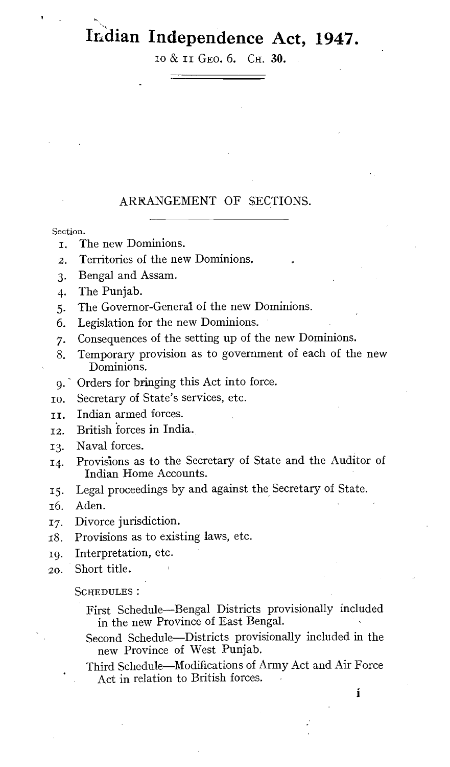# Indian Independence Act, 1947.

ro & ii GEO. 6. CH. 30.

## ARRANGEMENT OF SECTIONS.

#### Section.

- i. The new Dominions.
- 2. Territories of the new Dominions.
- 3. Bengal and Assam.
- 4. The Punjab.
- 5. The Governor-General of the new Dominions.
- 6. Legislation for the new Dominions.
- 7. Consequences of the setting up of the new Dominions.
- 8. Temporary provision as to government of each of the new Dominions.
- 9. Orders for bringing this Act into force.
- ro. Secretary of State's services, etc.
- Indian armed forces.
- 12. British forces in India.
- 13. Naval forces.
- 14. Provisions as to the Secretary of State and the Auditor of Indian Home Accounts.
- 15. Legal proceedings by and against the Secretary of State.
- 16. Aden.
- 17. Divorce jurisdiction.
- 18. Provisions as to existing laws, etc.
- ig. Interpretation, etc.
- 20. Short title.

#### SCHEDULES:

- First Schedule-Bengal Districts provisionally included in the new Province of East Bengal.
- Second Schedule-Districts provisionally included in the new Province of West Punjab.
- Third Schedule-Modifications of Army Act and Air Force Act in relation to British forces.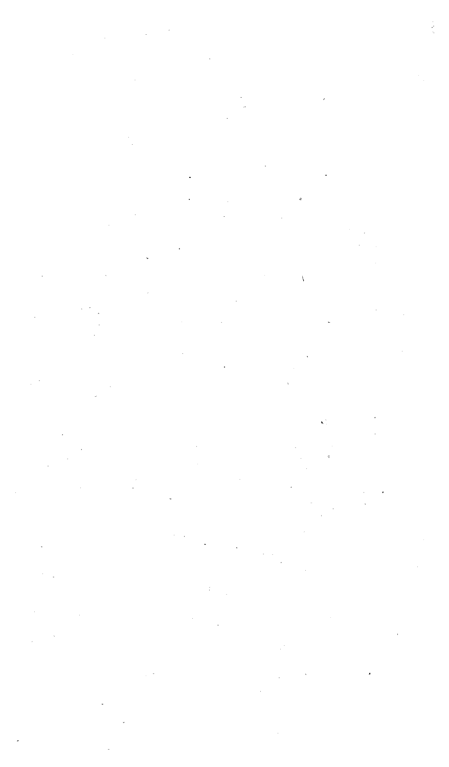$\label{eq:2.1} \begin{split} \mathcal{L}_{\text{max}}(\mathbf{x}) & = \frac{1}{2} \sum_{i=1}^{N} \frac{1}{\left( \mathbf{x}^{(i)}_{i} - \mathbf{x}^{(i)}_{i} \right)^{2}} \\ & = \sum_{i=1}^{N} \frac{1}{\left( \mathbf{x}^{(i)}_{i} - \mathbf{x}^{(i)}_{i} \right)^{2}} \\ & = \sum_{i=1}^{N} \frac{1}{\left( \mathbf{x}^{(i)}_{i} - \mathbf{x}^{(i)}_{i} \right)^{2}} \\ & = \sum_{i=1}^{N} \frac{1}{\left( \mathbf{x}^{($  $\label{eq:2.1} \begin{split} \mathcal{L}_{\text{max}}(\mathbf{r}) = \mathcal{L}_{\text{max}}(\mathbf{r}) \end{split}$  $\label{eq:2.1} \frac{1}{\sqrt{2\pi}}\sum_{i=1}^n\frac{1}{\sqrt{2\pi}}\sum_{i=1}^n\frac{1}{\sqrt{2\pi}}\sum_{i=1}^n\frac{1}{\sqrt{2\pi}}\sum_{i=1}^n\frac{1}{\sqrt{2\pi}}\sum_{i=1}^n\frac{1}{\sqrt{2\pi}}\sum_{i=1}^n\frac{1}{\sqrt{2\pi}}\sum_{i=1}^n\frac{1}{\sqrt{2\pi}}\sum_{i=1}^n\frac{1}{\sqrt{2\pi}}\sum_{i=1}^n\frac{1}{\sqrt{2\pi}}\sum_{i=1}^n\$  $\label{eq:2.1} \frac{1}{\sqrt{2\pi}}\int_{\mathbb{R}^3}\frac{1}{\sqrt{2\pi}}\left(\frac{1}{\sqrt{2\pi}}\right)^2\frac{1}{\sqrt{2\pi}}\int_{\mathbb{R}^3}\frac{1}{\sqrt{2\pi}}\left(\frac{1}{\sqrt{2\pi}}\right)^2\frac{1}{\sqrt{2\pi}}\frac{1}{\sqrt{2\pi}}\int_{\mathbb{R}^3}\frac{1}{\sqrt{2\pi}}\frac{1}{\sqrt{2\pi}}\frac{1}{\sqrt{2\pi}}\frac{1}{\sqrt{2\pi}}\frac{1}{\sqrt{2\pi}}\frac{1}{\sqrt{2\$  $\mathcal{L}^{\mathcal{L}}(\mathcal{L}^{\mathcal{L}})$  and the contribution of the contribution of the contribution of the contribution of the contribution of the contribution of the contribution of the contribution of the contribution of the con  $\mathcal{L}^{\text{max}}_{\text{max}}$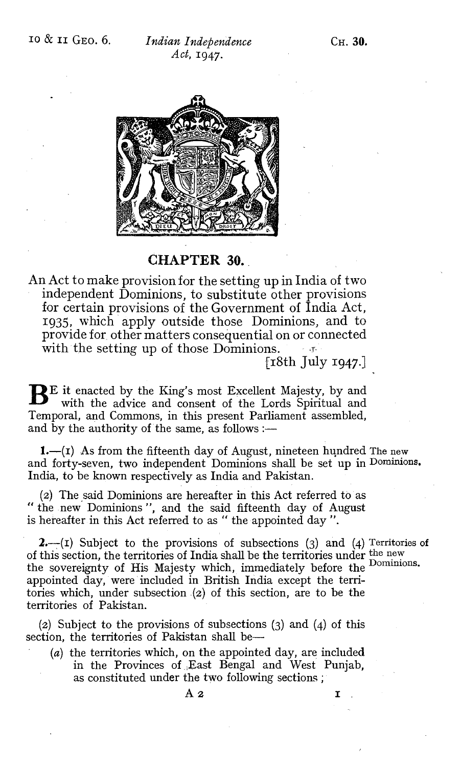

# CHAPTER 30..

An Act to make provision for the setting up in India of two independent Dominions, to substitute other provisions for certain provisions of the Government of India Act, 1935, which apply outside those Dominions, and to provide for, other matters consequential on or connected with the setting up of those Dominions.  $\frac{1}{18}$   $\frac{1}{18}$  July 1947.

B E it enacted by the King's most Excellent Majesty, by and with the advice and consent of the Lords Spiritual and Temporal, and Commons, in this present Parliament assembled, and by the authority of the same, as follows :-

 $1.$ —(I) As from the fifteenth day of August, nineteen hundred The new and forty-seven, two independent Dominions shall be set up in Dominions. India, to be known respectively as India and Pakistan.

(2) The said Dominions are hereafter in this Act referred to as " the new Dominions", and the said fifteenth day of August is hereafter in this Act referred to as " the appointed day ".

**2.**-(I) Subject to the provisions of subsections (3) and (4) Territories of of this section, the territories of India shall be the territories under the new the sovereignty of His Majesty which, immediately before the Dominions. appointed day, were included in British India except the territories which, under subsection  $(2)$  of this section, are to be the territories of Pakistan.

(2) Subject to the provisions of subsections (3) and (4) of this section, the territories of Pakistan shall be-

(a) the territories which, on the appointed day, are included in the Provinces of East Bengal and West Punjab, as constituted under the two following sections ;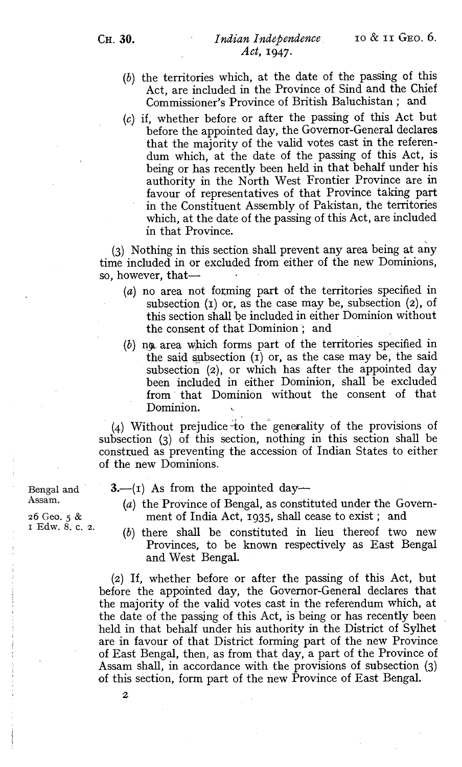## CH. 30. Indian Independence io & II GEO. 6. Act, 1947.

- (b) the territories which, at the date of the passing of this Act, are included in the Province of Sind and the Chief Commissioner's Province of British Baluchistan ; and
- (c) if, whether before or after the passing of this Act but before the appointed day, the Governor-General declares that the majority of the valid votes cast in the referendum which, at the date of the passing of this Act, is being or has recently been held in that behalf under his authority in the North West Frontier Province are in favour of representatives of that Province taking part in the Constituent Assembly of Pakistan, the territories which, at the date of the passing of this Act, are included in that Province.

(3) Nothing in this section shall prevent any area being at any time included in or excluded from either of the new Dominions, so, however, that-

- (a) no area not forming part of the territories specified in subsection (1) or, as the case may be, subsection (2), of this section shall be included in either Dominion without the consent of that Dominion; and
- $(b)$  ng. area which forms part of the territories specified in the said subsection  $(I)$  or, as the case may be, the said subsection (2), or which has after the appointed day been included in either Dominion, shall be excluded from that Dominion without the consent of that Dominion.

(4) Without prejudice to the generality of the provisions of subsection (3) of this section, nothing in this section shall be constzued as preventing the accession of Indian States to either of the new Dominions.

- Bengal and  $3.-(1)$  As from the appointed day—<br>Assam.
- Assam. (a) the Province of Bengal, as constituted under the Govern-<br>26 Geo. 5 & ment of India Act, 1935, shall cease to exist; and 26 Geo. 5  $\&$  ment of India Act, 1935, shall cease to exist; and  $\text{I}$  Edw. 8, c. 2.
	- $(b)$  there shall be constituted in lieu thereof two new Provinces, to be known respectively as East Bengal and West Bengal.

(2) If, whether before or after the passing of this Act, but before the appointed day, the Governor-General declares that the majority of the valid votes cast in the referendum which, at the date of the passing of this Act, is being or has recently been held in that behalf under his authority in the District of Sylhet are in favour of that District forming part of the new Province of East Bengal, then, as from that day, a part of the Province of Assam shall, in accordance with the provisions of subsection (3) of this section, form part of the new Province of East Bengal.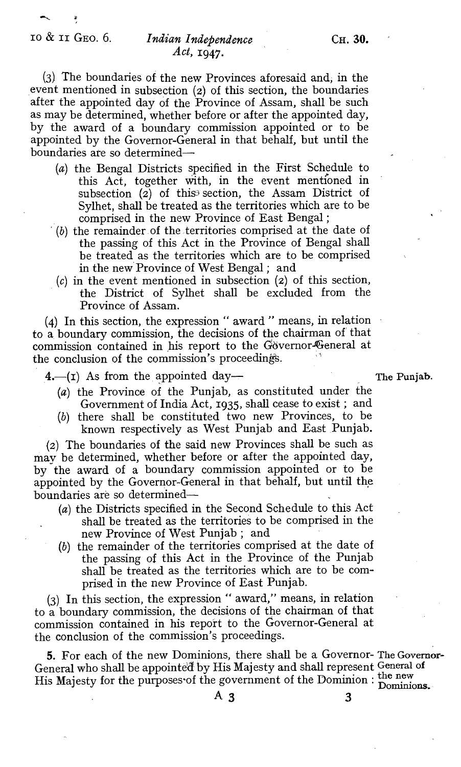# $\overline{a}$  io & ii Geo. 6. Indian Independence CH. 30. Act,  $1947.$

(3) The boundaries of the new Provinces aforesaid and, in the event mentioned in subsection (2) of this section, the boundaries after the appointed day of the Province of Assam, shall be such as may be determined, whether before or after the appointed day, by the award of a boundary commission appointed or to be appointed by the Governor-General in that behalf, but until the boundaries are so determined-

- (a) the Bengal Districts specified in the First Schedule to this Act, together with, in the event mentioned in subsection  $(2)$  of this section, the Assam District of Sylhet, shall be treated as the territories which are to be comprised in the new Province of East Bengal ;
- (b) the remainder.of the. territories comprised at the date of the passing of this Act in the Province of Bengal shall be treated as the territories which are to be comprised in the new Province of West Bengal ; and
- (c) in the event mentioned in subsection (2) of this section, the District of Sylhet shall be excluded from the Province of Assam.

(4) In this section, the expression " award " means, in relation to a boundary commission, the decisions of the chairman of that commission contained in his report to the Governor-General at the conclusion of the commission's proceedings.

 $4-(1)$  As from the appointed day— $\qquad \qquad$  The Punjab.

- (a) the Province of the Punjab, as constituted under the Government of India Act, 1935, shall cease to exist ; and
- (b) there shall be constituted two new Provinces, to be known respectively as West Punjab and East Punjab.

(2) The boundaries of the said new Provinces shall be such as may be determined, whether before or after the appointed day, by the award of a boundary commission appointed or to be appointed by the Governor-General in that behalf, but until the boundaries are so determined-

- (a) the Districts specified in the Second Schedule to this Act shall be treated as the territories to be comprised in the new Province of West Punjab ; and
- (b) the remainder of the territories comprised at the date of the passing of this Act in the Province of the Punjab shall be treated as the territories which are to be comprised in the new Province of East Punjab.

(3) In this section, the expression " award," means, in relation to a boundary commission, the decisions of the chairman of that commission contained in his report to the Governor-General at the conclusion of the commission's proceedings.

5. For each of the new Dominions, there shall be a Governor- The Governor-General who shall be appointed by His Majesty and shall represent General of His Majesty for the purposes of the government of the Dominion : Dominions.<br>
A 3 3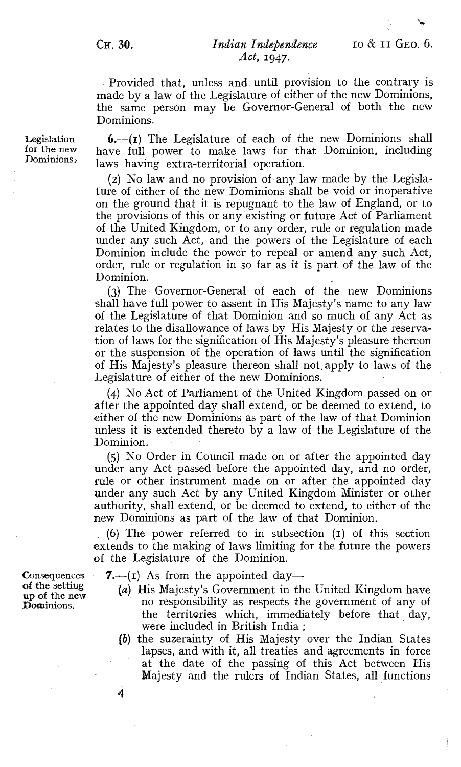## CH. 30. Indian Independence io & II GEO. 6. Act,  $1947.$

Provided that, unless and until provision to the contrary is made by a law of the Legislature of either of the new Dominions, the same person may be Governor-General of both the new Dominions.

 $6.$ —(I) The Legislature of each of the new Dominions shall have full power to make laws for that Dominion, including laws having extra-territorial operation.

(2) No law and no provision of any law made by the Legislature of either of the new Dominions shall be void or inoperative on the ground that it is repugnant to the law of England, or to the provisions of this or any'existing or future Act of Parliament of the United Kingdom, or to any order, rule or regulation made under any such Act, and the powers of the Legislature of each Dominion include the power to repeal or amend any such Act, order, rule or regulation in so far as it is part of the law of the Dominion.

(3) The Governor-General of each of the new Dominions shall have full power to assent in His Majesty's name to any law of the Legislature of that Dominion and so much of any Act as relates to the disallowance of laws by His Majesty or the reservation of laws for the signification of His Majesty's pleasure thereon or the suspension of the operation of laws until the signification of His Majesty's pleasure thereon shall not, apply to laws of the Legislature of either of the new Dominions.

(4) No Act of Parliament of the United Kingdom passed on or after the appointed day shall extend, or be deemed to extend, to either of the new Dominions as part of the law of that Dominion unless it is extended thereto by a law of the Legislature of the Dominion.

(5) No Order in Council made on or after the appointed day under any Act passed before the appointed day, and no order, rule or other instrument made on or after the appointed day under any such Act by any United Kingdom Minister or other authority, shall extend, or be deemed to extend, to either of the new Dominions as part of the law of that Dominion.

(6) The power referred to in subsection  $(I)$  of this section extends to the making of laws limiting for the future the powers of the Legislature of the Dominion.

**7.**—(1) As from the appointed day—

- (a) His Majesty's Government in the United Kingdom have no responsibility as respects the government of any of the territories which, immediately before that day, were included in British India ;
- (b) the suzerainty of His Majesty over the Indian States lapses, and with it, all treaties and agreements in force at the date of the passing of this Act between His Majesty and the rulers of Indian States, all functions

Legislation for the new Dominions>

Consequences of the setting up of the new Dominions.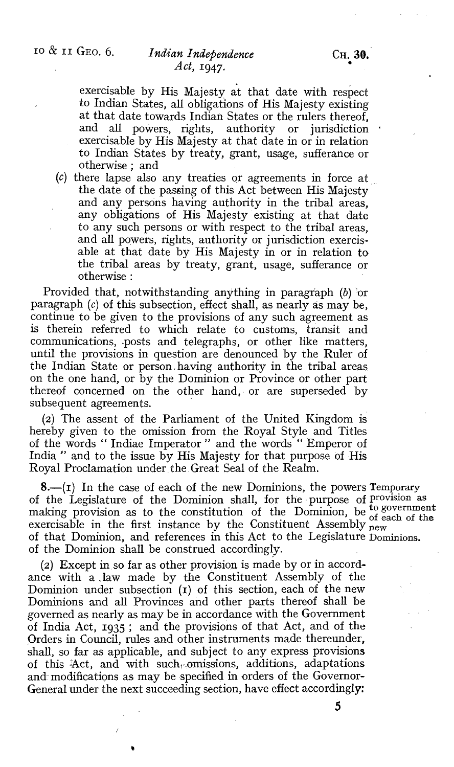## $I^{O}$ & II GEO. 6. Indian Independence CH. 30. Act, 1947.

exercisable by His Majesty at that date with respect to Indian States, all obligations of His Majesty existing at that date towards Indian States or the rulers thereof, and all powers, rights, authority exercisable by His Majesty at that date in or in relation to Indian States by treaty, grant, usage, sufferance or otherwise , and

(c) there lapse also any treaties or agreements in force at the date of the passing of this Act between His Majesty and any persons having authority in the tribal areas, any obligations of His Majesty existing at that date to any such persons or with respect to the tribal areas, and all powers, rights, authority or jurisdiction exercisable at that date by His Majesty in or in relation to the tribal areas by treaty, grant, usage, sufferance or otherwise

Provided that, notwithstanding anything in paragraph (b) or paragraph (c) of this subsection, effect shall, as nearly as may be, continue to be given to the provisions of any such agreement as is therein referred to which relate to customs, transit and communications, -posts and telegraphs, or other like matters, until the provisions in question are denounced by the Ruler of the Indian State or person having authority in the tribal areas on the one hand, or by the Dominion or Province or other part thereof concerned on the other hand, or are superseded by subsequent agreements.

(2) The assent of the Parliament of the United Kingdom is hereby given to the omission from the Royal Style and Titles of the words " Indiae Imperator " and the words " Emperor of India " and to the issue by His Majesty for that purpose of His Royal Proclamation under the Great Seal of the Realm.

 $8-(1)$  In the case of each of the new Dominions, the powers Temporary of the Legislature of the Dominion shall, for the purpose of provision as making provision as to the constitution of the Dominion, be  $\frac{1}{\alpha}$  b government making provision as to the constitution of the Dominion, be of each of the exercisable in the first instance by the Constituent Assembly  $_{\text{new}}$ of that Dominion, and references in this Act to the Legislature Dominions. of the Dominion shall be construed accordingly.

(2) Except in so far as other provision is made by or in accordance with a Jaw made by the Constituent Assembly of the Dominion under subsection (1) of this section, each of the new Dominions and all Provinces and other parts thereof shall be governed as nearly as may be in accordance with the Government of India Act, 1935 ; and the provisions of that Act, and of the Orders in Council, rules and other instruments made thereunder, shall, so far as applicable, and subject to any express provisions of this Act, and with such, omissions, additions, adaptations and modifications as may be specified in orders of the Governor-General under the next succeeding section, have effect accordingly: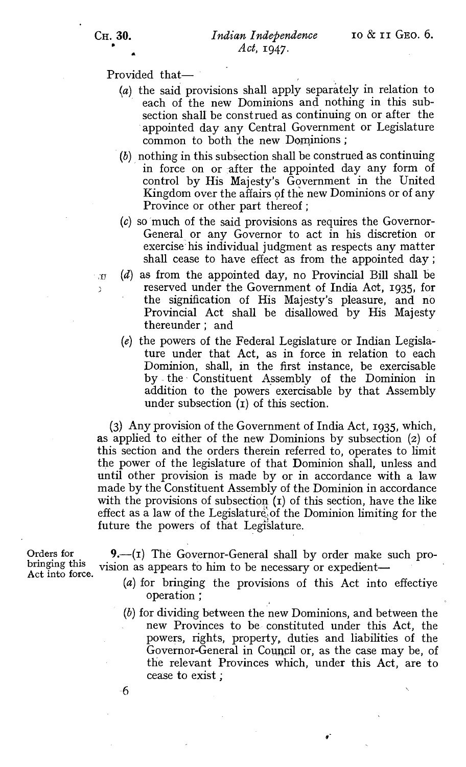' O Â,

Provided that-

- (a) the said provisions shall apply separately in relation to each of the new Dominions and nothing in this subsection shall be construed as continuing on or after the appointed day any Central Government or Legislature common to both the new Dominions ;
- (b) nothing in this subsection shall be construed as continuing in force on or after the appointed day any form of control by His Majesty's Government in the United Kingdom over the affairs of the new Dominions or of any Province or other part thereof ;
- (c) so'much of the said provisions as requires the Governor-General or any Governor to act in his discretion or exercise his individual judgment as respects any matter shall cease to have effect as from the appointed day ;
- (d) as from the appointed day, no Provincial Bill shall be reserved under the Government of India Act, 1935, for the signification of His Majesty's pleasure, and no Provincial Act shall be disallowed by His Majesty thereunder ; and
- (e) the powers of the Federal Legislature or Indian Legislature under that Act, as in force in relation to each Dominion, shall, in the first instance, be exercisable by - the Constituent Assembly of the Dominion in addition to the powers exercisable by that Assembly under subsection  $(I)$  of this section.

(3) Any provision of the Government of India Act, 1935, which, as applied to either of the new Dominions by subsection (2) of this section and the orders therein referred to, operates to limit the power of the legislature of that Dominion shall, unless and until other provision is made by or in accordance with a law made by the Constituent Assembly of the Dominion in accordance with the provisions of subsection  $(I)$  of this section, have the like effect as a law of the Legislature; of the Dominion limiting for the future the powers of that Legislature.

Orders for bringing this Act into force. **9.**- $(I)$  The Governor-General shall by order make such provision as appears to him to be necessary or expedient-

- (a) for bringing the provisions of this Act into effective operation ;
- (b) for dividing between the new Dominions, and between the new Provinces to be constituted under this Act, the powers, rights, property, duties and liabilities of the Governor-General in Council or, as the case may be, of the relevant Provinces which, under this Act, are to cease to exist ;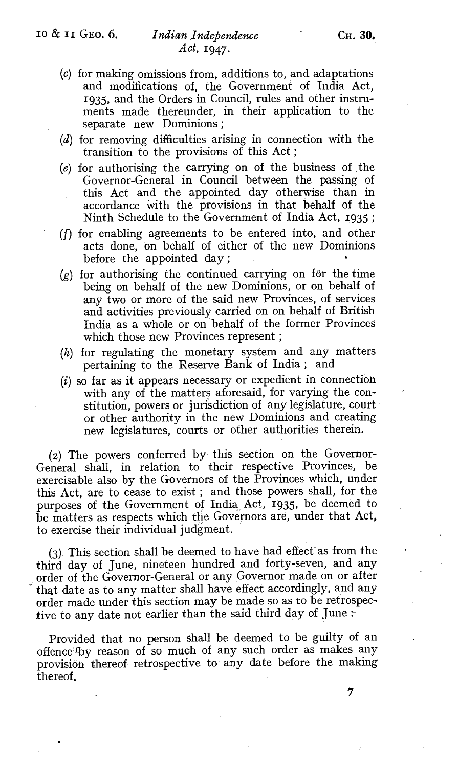- (c) for making omissions from, additions to, and adaptations and modifications of, the Government of India Act, 1935, and the Orders in Council, rules and other instruments made thereunder, in their application to the separate new Dominions ;
- (d) for removing difficulties arising in connection with the transition to the provisions of this Act ;
- $(e)$  for authorising the carrying on of the business of the Governor-General in Council between the passing of this Act and the appointed day otherwise than in accordance with the provisions in that behalf of the Ninth Schedule to the Government of India Act, 1935;
- (f) for enabling agreements to be entered into, and other acts done, on behalf of either of the new Dominions before the appointed day ;
- $(g)$  for authorising the continued carrying on for the time being on behalf of the new Dominions, or on behalf of any two or more of the said new Provinces, of services and activities previously carried on on behalf of British India as a whole or on behalf of the former Provinces which those new Provinces represent ;
- (h) for regulating the monetary system and any matters pertaining to the Reserve Bank of India ; and
- $(i)$  so far as it appears necessary or expedient in connection with any of the matters aforesaid, for varying the constitution, powers or jurisdiction of any legislature, court or other authority in the new Dominions and creating new legislatures, courts or other authorities therein.

(2) The powers conferred by this section on the Governor-General shall, in relation to their respective Provinces, be exercisable also by the Governors of the Provinces which, under this Act, are to cease to exist ; and those powers shall, for the purposes of the Government of India, Act, 1935, be deemed to be matters as respects which the Governors are, under that Act, to exercise their individual judgment.

(3) This section shall be deemed to have had effect as from the third day of June, nineteen hundred and forty-seven, and any order of the Governor-General or any Governor made on or after that date as to any matter shall have effect accordingly, and any order made under this section may be made so as to be retrospective to any date not earlier than the said third day of June :

Provided that no person shall be deemed to be guilty of an offence'iby reason of so much of any such order as makes any provision thereof retrospective to any date before the making thereof.

7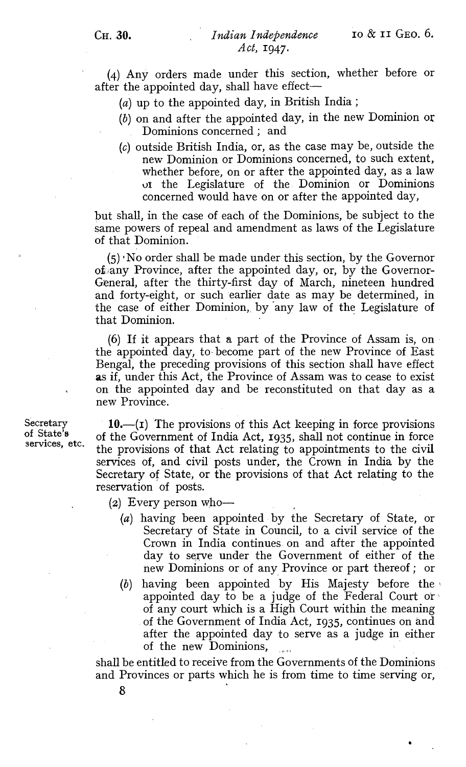(4) Any orders made under this section, whether before or after the appointed day, shall have effect-

- (a) up to the appointed day, in British India ;
- (b) on and after the appointed day, in the new Dominion or Dominions concerned ; and
- (c) outside British India, or, as the case may be, outside the new Dominion or Dominions concerned, to such extent, whether before, on or after the appointed day, as a law ui the Legislature of the Dominion or Dominions concerned would have on or after the appointed day,

but shall, in the case of each of the Dominions, be subject to the same powers of repeal and amendment as laws of the Legislature of that Dominion.

(5) ' No order shall be made under this section, by the Governor of:any Province, after the appointed day, or, by the Governor-General, after the thirty-first day of March, nineteen hundred and forty-eight, or such earlier date as may be determined, in the case of either Dominion, by any law of the Legislature of that Dominion.

(6) If it appears that a part of the Province of Assam is, on the appointed day, to become part of the new Province of East Bengal, the preceding provisions of this section shall have effect as if, under this Act, the Province of Assam was to cease to exist on the appointed day and be reconstituted on that day as a new Province.

Secretary of State's services, etc.

 $10.$ —(1) The provisions of this Act keeping in force provisions of the Government of India Act, 1935, shall not continue in force the provisions of that Act relating to appointments to the civil services of, and civil posts under, the Crown in India by the Secretary of State, or the provisions of that Act relating to the reservation of posts.

- (2) Every person who-
	- (a) having been appointed by the Secretary of State, or Secretary of State in Council, to a civil service of the Crown in India continues on and after the appointed day to serve under the Government of either of the new Dominions or of any Province or part thereof ; or
	- (b) having been appointed by His Majesty before the appointed day to be a judge of the Federal Court or. of any court which is a High Court within the meaning of the Government of India Act, 1935, continues on and after the appointed day to serve as a judge in either of the new Dominions,

shall be entitled to receive from the Governments of the Dominions and Provinces or parts which he is from time to time serving or,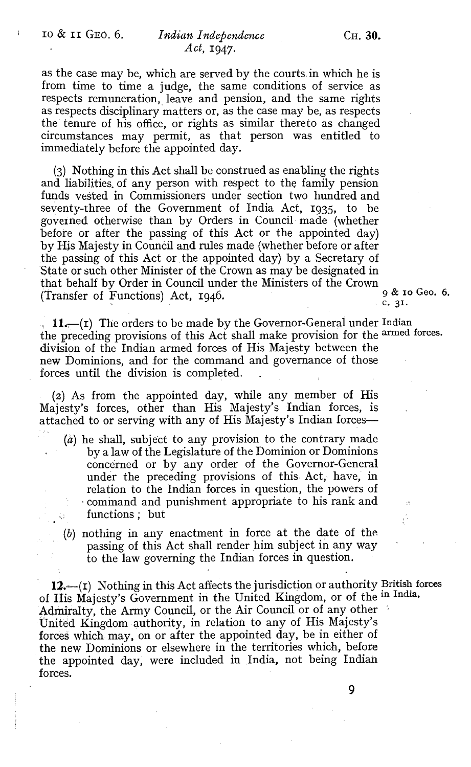I.

## 10 & II GEO. 6. Indian Independence CH. 30. Act, 1947.

as the case may be, which are served by the courts, in which he is from time to time a judge, the same conditions of service as respects remuneration, leave and pension, and the same rights as respects disciplinary matters or, as the case may be, as respects the tenure of his office, or rights as similar thereto as changed circumstances may permit, as that person was entitled to immediately before the appointed day.

(3) Nothing in this Act shall be construed as enabling the rights and liabilities. of any person with respect to the family pension funds vested in Commissioners under section two hundred and seventy-three of the Government of India Act, 1935, to be goveined otherwise than by Orders in Council made (whether before or after the passing of this Act or the appointed day) by His Majesty in Council and rules made (whether before or after the passing of this Act or the appointed day) by a Secretary of State or such other Minister of the Crown as may be designated in that behalf by Order in Council under the Ministers of the Crown  $\alpha \& 10^{6}$  and  $\alpha$  to Geo. 6. (Transfer of Functions) Act, 1946.  $\begin{array}{c} 9 \text{ & } 9 \text{ & } 10 \\ 2, & 31 \end{array}$ 

 $\sqrt{s}$ 

 $11.$ — $(I)$  The orders to be made by the Governor-General under Indian the preceding provisions of this Act shall make provision for the armed forces. division of the Indian armed forces of His Majesty between the new Dominions, and for the command and governance of those forces until the division is completed.

(2) As from the appointed day, while any member of His Majesty's forces, other than His Majesty's Indian forces, is attached to or serving with any of His Majesty's Indian forces—

- (a) he shall, subject to any provision to the contrary made by a law of the Legislature of the Dominion or Dominions concerned or by any order of the Governor-General under the preceding provisions of this Act, have, in relation to the Indian forces in question, the powers of command and punishment appropriate to his rank and functions ; but
- (b) nothing in any enactment in force at the date of the. passing of this Act shall render him subject in any way to the law governing the Indian forces in question.

 $12.$ - $(i)$  Nothing in this Act affects the jurisdiction or authority British forces of His Majesty's Government in the United Kingdom, or of the in India. Admiralty, the Army Council, or the Air Council or of any other United Kingdom authority, in relation to any of His Majesty's forces which may, on or after the appointed day, be in either of the new Dominions or elsewhere in the territories which, before the appointed day, were included in India, not being Indian forces.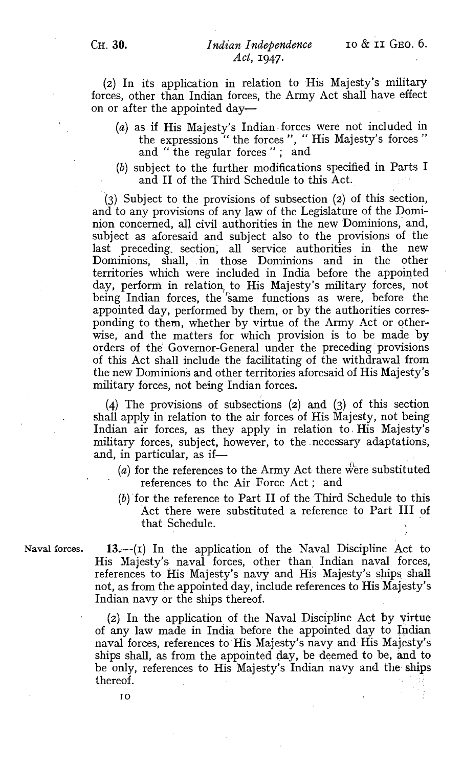### CH. 30. Indian Independence  $\qquad$  10 & 11 GEO. 6. Act, 1947.

(2) In its application in relation to His Majesty's military forces, other than Indian forces, the Army Act shall have effect on or after the appointed day—

- (a) as if His Majesty's Indian-forces were not included in the expressions " the forces ", " His Majesty's forces and "the regular forces" ; and
- (b) subject to the further modifications specified in Parts I and II of the Third Schedule to this Act.

(3) Subject to the provisions of subsection (2) of this section, and to any provisions of any law of the Legislature of the Dominion concerned, all civil authorities in the new Dominions, and, subject as aforesaid and subject also to the provisions of the last preceding, section, all service authorities in the new Dominions, shall, in those Dominions and in the other territories which were included in India before the appointed day, perform in relation, to His Majesty's military forces, not being Indian forces, the same functions as were, before the appointed day, performed by them, or by the authorities corresponding to them, whether by virtue of the Army Act or otherwise, and the matters for which provision is to be made by orders of the' Governor-General under the preceding provisions of this Act shall include the facilitating of the withdrawal from the new Dominions and other territories aforesaid of His Majesty's military forces, not being Indian forces.

(4) The provisions of subsections (2) and (3) of this section shall apply in relation to the air forces of His Majesty, not being Indian air forces, as they apply in relation to His Majesty's military forces, subject, however, to the .necessary adaptations, and, in particular, as if-

- (a) for the references to the Army Act there were substituted references to the Air Force Act ; and
- (b) for the reference to Part II of the Third Schedule to this Act there were substituted a reference to Part III of that Schedule.

Naval forces.  $13.-(1)$  In the application of the Naval Discipline Act to His Majesty's naval forces, other than Indian naval forces, references to His Majesty's navy and His Majesty's ships shall not, as from the appointed day, include references to His Majesty's Indian navy or the ships thereof.

> (2) In the application of the Naval Discipline Act by virtue of any law made in India before the appointed day to Indian naval forces, references to His Majesty's navy and His Majesty's ships shall, as from the appointed day, be deemed to be, and to be only, references to His Majesty's Indian navy and the ships thereof.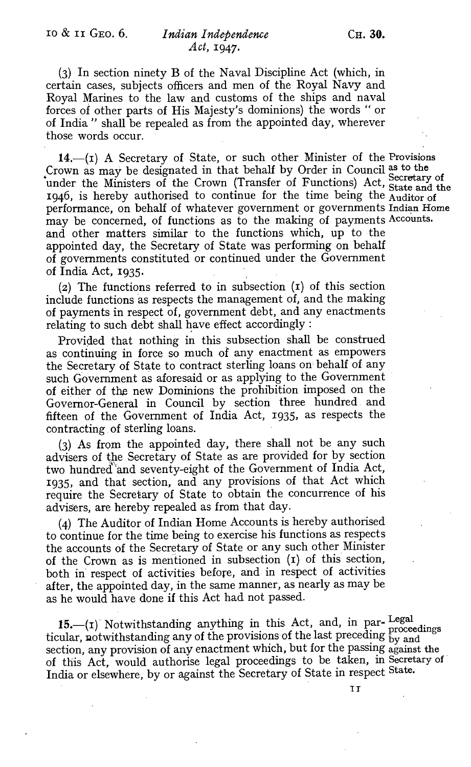(3) In section ninety B of the Naval Discipline Act (which, in certain cases, subjects officers and men of the Royal Navy and Royal Marines to the law and customs of the ships and naval forces of other parts of His Majesty's dominions) the words " or of India " shall be repealed as from the appointed day, wherever those words occur.

 $14$ .-(1) A Secretary of State, or such other Minister of the Provisions Crown as may be designated in that behalf by Order in Council as to the Let the Ministers of the Crown (Transfer of Functions) Act, Secretary of under the Ministers of the Crown (Transfer of Functions) Act, State and the 1946, is hereby authorised to continue for the time being the Auditor of performance, on behalf of whatever government or governments Indian Home may be concerned, of functions as to the making of payments Accounts. and other matters similar to the functions which, up to the appointed day, the Secretary of State was performing on behalf of governments constituted or continued under the Government of India Act, 1935.

(2) The functions referred to in subsection (r) of this section include functions as respects the management of, and the making of payments in respect of, government debt, and any enactments relating to such debt shall have effect accordingly :

Provided that nothing in this subsection shall be construed as continuing in force so much of any enactment as empowers the Secretary of State to contract sterling loans on behalf of any such Government as aforesaid or as applying to the Government of either of the new Dominions the prohibition imposed on the Governor-General in Council by section three hundred. and fifteen of the Government of India Act, 1935, as respects the contracting of sterling loans.

(3) As from the appointed day, there shall not be any such advisers of the Secretary of State as are provided for by section two hundred'and seventy-eight of the Government of India Act, 1935, and that section, and any provisions of that Act which require the Secretary of State to obtain the concurrence of his advisers, are hereby repealed as from that day.

(4) The Auditor of Indian Home Accounts is hereby authorised to continue for the time being to exercise his functions as respects the accounts of the Secretary of State or any such other Minister of the Crown as is mentioned in subsection (r) of this section, both in' respect of activities before, and in respect of activities after, the appointed day, in the same manner, as nearly as may be as he would have done if this Act had not passed.

15. $-(x)$  Notwithstanding anything in this Act, and, in par- $\frac{\text{Legal}}{2}$ 15.—(1) Notwithstanding any time in this Act, and, in partner proceedings ticular, notwithstanding any of the provisions of the last preceding by and section, any provision of any enactment which, but for the passing against the of this Act, would authorise legal proceedings to be taken, in Secretary of' India or elsewhere, by or against the Secretary of State in respect State.

TT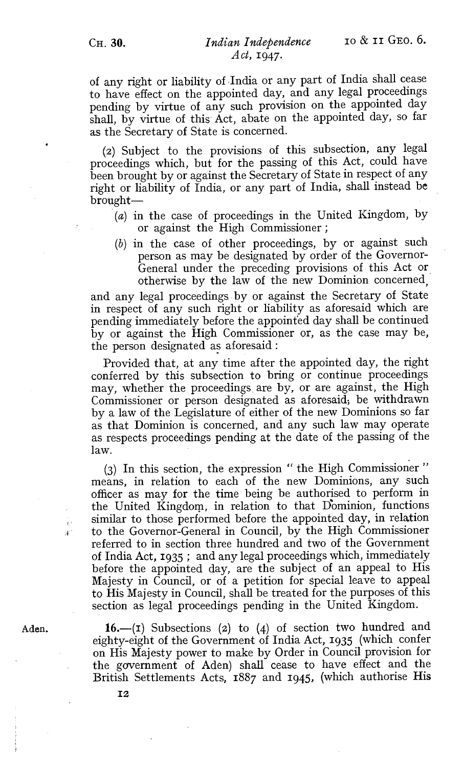## CH. 30. Indian Independence  $I = \begin{bmatrix} 1 & 1 \\ 0 & \text{if } 0 \end{bmatrix}$   $I = \begin{bmatrix} 0 & 0 \\ 0 & \text{if } 0 \end{bmatrix}$ Act,  $1947.$

of any right or liability of India or any part of India shall cease to have effect on the appointed day, and any legal proceedings pending by virtue of any such provision on the appointed day shall, by virtue of this Act, abate on the appointed day, so far as the Secretary of State is concerned.

(2) Subject to the provisions of this subsection, any legal proceedings which, but for the passing of this Act, could have been brought by or against the Secretary of State in respect of any right or liability of India, or any part of India, shall instead be brought-

- (a) in the case of proceedings in the United Kingdom, by or against the High Commissioner ;
- (b) in the case of other proceedings, by or against such person as may be designated by order of the Governor-General under the preceding provisions of this Act or otherwise by the law of the new Dominion concerned,

and any legal proceedings by or against the Secretary of State in respect of any such right or liability as aforesaid which are pending immediately before the appointed day shall be continued by or against the High Commissioner or, as the case may be, the person designated as aforesaid :

Provided that, at any time after the appointed day, the right conferred by this subsection to bring or continue proceedings may, whether the proceedings. are by, or are against, the High Commissioner or person designated as aforesaid., be withdrawn by a law of the Legislature of either of the new Dominions so far as that Dominion is concerned, and any such law may operate as respects proceedings pending at the date of the passing of the law.

(3) In this section, the expression " the High Commissioner " means, in relation to each of the new Dominions, any such officer as may for the time being be authorised to perform in the United Kingdom, in relation to that Dominion, functions similar to those performed before the appointed day, in relation to the Governor-General in Council, by the High Commissioner referred to in section three hundred and two of the Government of India Act, 1935 ; and any legal proceedings which, immediately before the appointed day, are the subject of an appeal to His Majesty in Council, or of a petition for special leave to appeal to His Majesty in Council, shall be treated for the purposes of this section as legal proceedings pending in the United Kingdom.

े.<br>इ.स  $\mathcal{X}^{\mathcal{C}}$ 

Aden.  $16.-(1)$  Subsections (2) to (4) of section two hundred and eighty-eight of the Government of India Act, 1935 (which confer on His Majesty power to make by Order in Council provision for the government of Aden) shall cease to have effect and the British Settlements Acts, 1887 and 1945, (which authorise His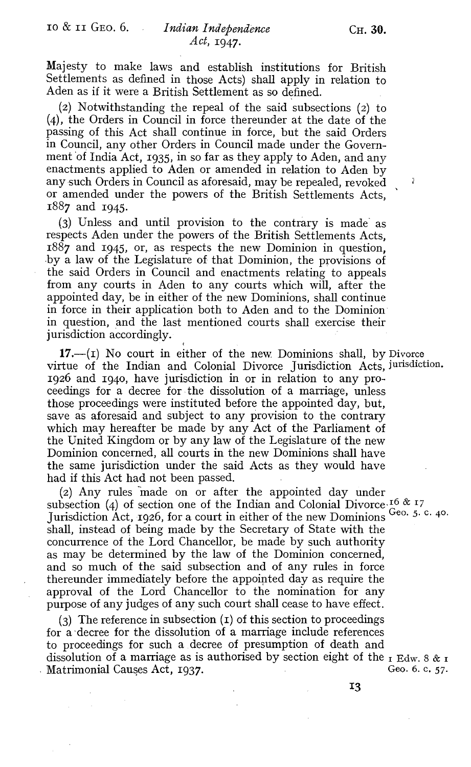## $10 \&$  II GEO. 6. Indian Independence CH. 30. Act, 1947.

Majesty to make laws and establish institutions for British Settlements as defined in those Acts) shall apply in relation to Aden as if it were a British Settlement as so defined.

(2) Notwithstanding the repeal of the said subsections (2) to (4), the Orders in Council in force thereunder at the date of the passing of this Act shall continue in force, but the said Orders in Council, any other Orders in Council made under the Government of India Act, 1935, in so far as they apply to Aden, and any enactments applied to Aden or amended in relation to Aden by<br>any such Orders in Council as aforesaid, may be repeated revoked any such Orders in Council as aforesaid, may be repealed, revoked or amended under the powers of the British Settlements Acts, 1887 and 1945.

(3) Unless and until provision to the contrary is made' as respects Aden under the powers of the British Settlements Acts, 1887 and 1945, or, as respects the new Dominion in question. by a law of the Legislature of that Dominion, the provisions of the said Orders in Council and enactments relating to appeals from any courts in Aden to any courts which will, after the appointed day, be in either of the new Dominions, shall continue in force in their application both to Aden and to the Dominion in question, and the last mentioned courts shall exercise their jurisdiction accordingly.

 $17.$ - $(I)$  No court in either of the new Dominions shall, by Divorce virtue of the Indian and Colonial Divorce Jurisdiction Acts, jurisdiction. 1926 and 1940, have jurisdiction in or in relation to any proceedings for a decree for the dissolution of a marriage, unless those proceedings were instituted before the appointed day, but, save as aforesaid and subject to any provision to the contrary which may hereafter be made by any Act of the Parliament of the United Kingdom or by any law of the Legislature of the new Dominion concerned, all courts in the new Dominions shall have the same jurisdiction under the said Acts as they would have had if this Act had not been passed.

(2) Any rules made on or after the appointed day under subsection (4) of section one of the Indian and Colonial Divorce  $16 \& 17$ Jurisdiction Act, 1926, for a court in either of the new Dominions Geo. 5. c. 40. shall, instead of being made by the Secretary of State with the concurrence of the Lord Chancellor, be made by such authority as may be determined by the law of the Dominion concerned, and so much of the said subsection and of any rules in force thereunder immediately before the appointed day as require the approval of the Lord Chancellor to the nomination for any purpose of any judges of any such court shall cease to have effect.

(3) The reference in subsection  $(I)$  of this section to proceedings for a 'decree for the dissolution of a marriage include references to proceedings for such a decree of presumption of death and dissolution of a marriage as is authorised by section eight of the  $_1$  Edw. 8  $\alpha$  is Matrimonial Causes Act, 1937. Matrimonial Causes Act, 1937.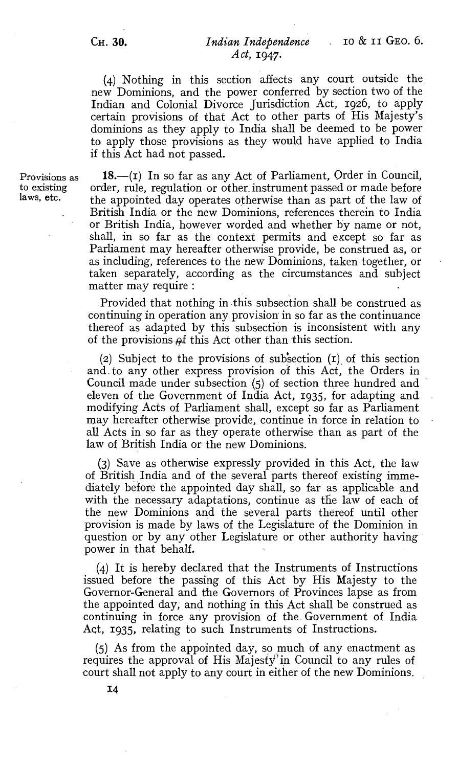## CH. 30. Indian Independence in  $\&$  11 GEO. 6. Act, 1947.

(4) Nothing in this section affects any court outside the new Dominions, and the power conferred by section two of the Indian and Colonial Divorce Jurisdiction Act, 1926, to apply certain provisions of that Act to other parts of His Majesty's dominions as they apply to India shall be deemed to be power to apply those provisions as they would have applied to India if this Act had not passed.

Provisions as  $18.-(1)$  In so far as any Act of Parliament, Order in Council, to existing order, rule, regulation or other instrument passed or made before to existing order, rule, regulation or other instrument passed or made before<br>laws, etc. <br>the annointed day operates otherwise than as part of the law of the appointed day operates otherwise than as part of the law of British India or the new Dominions, references therein to India or British India, however worded and whether by name or not, shall, in so far as the context permits and except so far as Parliament may hereafter otherwise provide, be construed as, or as including, references to the new Dominions, taken together, or taken separately, according as the circumstances and subject matter may require :

> Provided that nothing in -this subsection shall be construed as continuing in operation any provision' in so far as the continuance thereof as adapted by this subsection is inconsistent with any of the provisions of this Act other than this section.

> (2) Subject to the provisions of subsection  $(1)$  of this section and, to any other express provision of this Act, the Orders in Council made under subsection (5) of section three hundred and eleven of the Government of India Act, 1935, for adapting and modifying Acts of Parliament shall, except so far as Parliament may hereafter otherwise provide, continue in force in relation to all Acts in so far as they operate otherwise than as part of the law of British India or the new Dominions.

> (3) Save as otherwise expressly provided in this Act, the law of British India and of the several parts thereof existing immediately before the appointed day shall, so far as applicable and with the necessary adaptations, continue as the law of each of the new Dominions and the several parts thereof until other provision is made by laws of the Legislature of the Dominion in question or by any other Legislature or other authority having power in that behalf.

> (q.) It is hereby declared that the Instruments of Instructions issued before the passing of this Act by His Majesty to the Governor-General and the Governors of Provinces lapse as from the appointed day, and nothing in this Act shall be construed as continuing in force any provision of the, Government of India Act, 1935, relating to such Instruments of Instructions.

> (5) As from the appointed day, so much of any enactment as requires the approval of His Majesty'in Council to any rules of court shall not apply to any court in either of the new Dominions.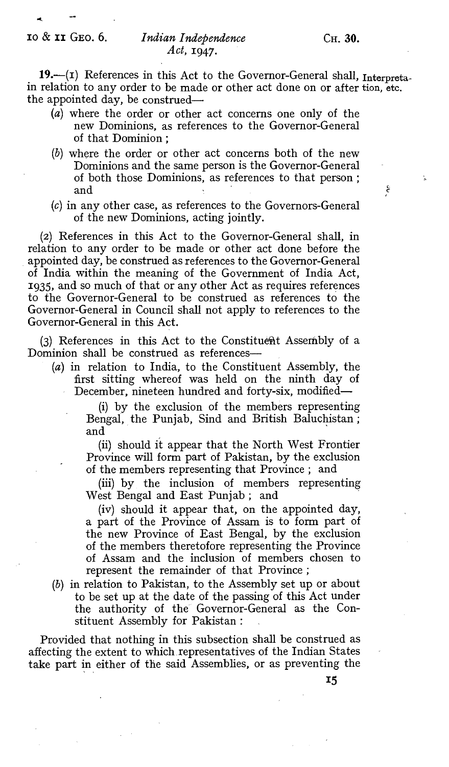Ä,

ξ

19.—(1) References in this Act to the Governor-General shall, Interpreta- in relation to any order to be made or other act done on or after tion, etc. the appointed day, be construed—

- (a) where the order or other act concerns one only of the new Dominions, as references to the Governor-General of that Dominion ;
- (b) where the order or other act concerns both of the new Dominions and the same person is the Governor-General of both those Dominions, as references to that person ; and
- (c) in any other case, as references to the Governors-General of the new Dominions, acting jointly.

(2) References in this Act to the Governor-General shall, in relation to any order to be made or other act done before the appointed day, be construed as references to the Governor-General of India within the meaning of the Government of India Act, 1935, and so much of that or any other Act as requires references to the Governor-General to be construed as references to the Governor-General in Council shall not apply to references to the Governor-General in this Act.

(3) References in this Act to the Constituent Assembly of a Dominion shall be construed as references-

- (a) in relation to India, to the Constituent Assembly, the first sitting whereof was held on the ninth day of
	- December, nineteen hundred and forty-six, modified-

(i) by the exclusion of the members representing Bengal, the Punjab, Sind and British Baluchistan;<br>and

(ii) should it appear that the North West Frontier Province will form part of Pakistan, by the exclusion of the members representing that Province ; and

(iii) by the inclusion of members representing West Bengal and East Punjab ; and

(iv) should it appear that, on the appointed day, a part of the Province of Assam is to form part of the new Province of East Bengal, by the exclusion of the members theretofore representing the Province of Assam and the inclusion of members chosen to represent the remainder of that Province ;

(b) in relation to Pakistan, to the Assembly set up or about to be set up at the date of the passing of this Act under the authority of the Governor-General as the Constituent Assembly for Pakistan :

Provided that nothing in this subsection shall be construed as affecting the extent to which representatives of the Indian States take part in either of the said Assemblies, or as preventing the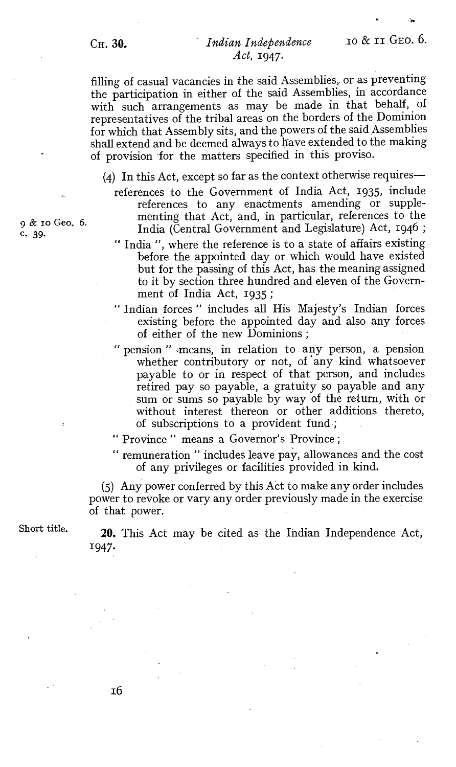## $C_H$ . 30. Indian Independence  $I_0$  &  $I_1$  GEO. 6. Act, 1947,

filling of casual vacancies in the said Assemblies., or as preventing the participation in either of the said Assemblies, in accordance with such arrangements as may be made in that behalf, of representatives of the tribal areas on the borders of the Dominion for which that Assembly sits, and the powers of the said Assemblies shall extend and be deemed always to have extended to the making of provision for the matters specified in this proviso.

 $(4)$  In this Act, except so far as the context otherwise requires-

- references to the Government of India Act, 1935, include references to any enactments amending or supplementing that Act, and, in particular, references to the India (Central Government and Legislature) Act, 1946 ;
- " India ", where the reference is to a state of affairs existing before the appointed day or which would have existed but for the passing of this Act, has the meaning assigned to it by section three hundred and eleven of the Government of India Act, 1935 ;
- " Indian forces " includes all His Majesty's Indian forces existing before the appointed day and also any forces of either of the new Dominions ;
- " pension " means, in relation to any person, a pension whether contributory or not, of any kind whatsoever payable to or in respect of that person, and includes retired pay so payable, a gratuity so payable and any sum or sums so payable by way of the return, with or without interest thereon or other additions thereto, of subscriptions to a provident fund;

" Province " means a Governor's Province ;

" remuneration " includes leave pay, allowances and the cost of any privileges or facilities provided in kind.

(5) Any power conferred by this Act to make any order includes power to revoke or vary any order previously made in the exercise of that power.

Short title.

20. This Act may be cited as the Indian Independence Act, 1947.

9 & io Geo. 6. c. 39.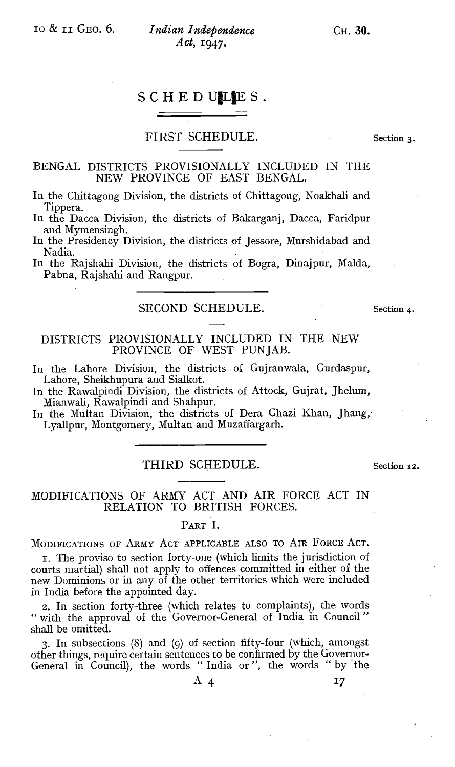## SCHEDULLES.

#### FIRST SCHEDULE. Section 3.

BENGAL DISTRICTS PROVISIONALLY INCLUDED IN THE NEW PROVINCE OF EAST BENGAL.

In the Chittagong Division, the districts of Chittagong, Noakhali and Tippera. In the Dacca Division, the districts of Bakarganj, Dacca, Faridpur

and Mymensingh. In the Presidency Division, the districts of Jessore, Murshidabad and

Nadia.

In the Rajshahi Division, the districts of Bogra, Dinajpur, Malda, Pabna, Rajshahi and Rangpur.

## SECOND SCHEDULE. Section 4.

#### DISTRICTS PROVISIONALLY INCLUDED IN THE NEW PROVINCE OF WEST PUNJAB.

In the Lahore Division, the districts of Gujranwala, Gurdaspur, Lahore, Sheikhupura and Sialkot.

In the Rawalpindi Division, the districts of Attock, Gujrat, Jhelum, Mianwali, Rawalpindi and Shahpur.

In the Multan Division, the districts of Dera Ghazi Khan, Jhang,- Lyalipur, Montgomery, Multan and Muzaffargarh.

#### THIRD SCHEDULE. Section 12.

MODIFICATIONS OF ARMY ACT AND AIR FORCE ACT IN RELATION TO BRITISH FORCES.

#### PART I.

MODIFICATIONS OF ARMY ACT APPLICABLE ALSO TO AIR FORCE ACT.

i. The proviso to section forty-one (which limits the jurisdiction of courts martial) shall not apply to offences committed in either of the new Dominions or in any of the other territories which were included in India before the appointed day.

2. In section forty-three (which relates to complaints), the words " with the approval of the Governor-General of India in Council " shall be omitted.

3. In subsections (8) and (9) of section fifty-four (which, amongst other things, require certain sentences to be confirmed by the Governor-General in Council), the words " India or ", the words " by the

A 4  $17$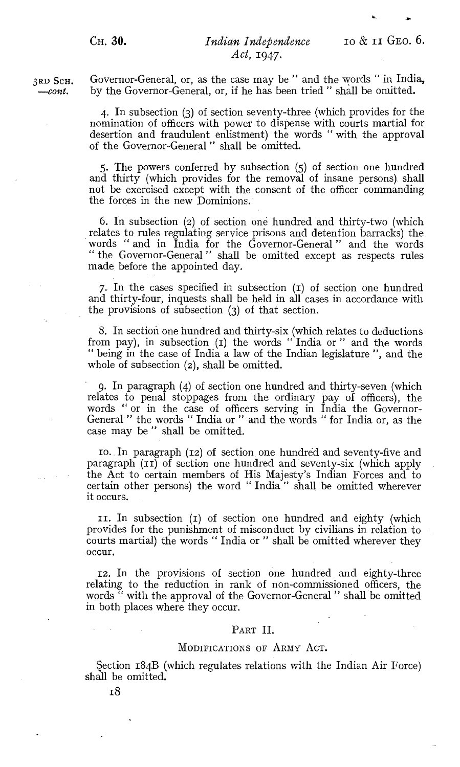# Act,  $1947.$

3RD SCH. Governor-General, or, as the case may be " and the words " in India, -cont. by the Governor-General, or, if he has been tried " shall be omitted.

> 4. In subsection (3) of section seventy-three (which provides for the nomination of officers with power to dispense with courts martial for desertion and fraudulent enlistment) the words " with the approval of the Governor-General " shall be omitted.

> 5. The powers conferred by subsection (5) of section one hundred and thirty (which provides for the removal of insane persons), shall not be exercised except with the consent of the officer commanding the forces in the new Dominions.

> 6. In subsection (2) of section one hundred and thirty-two (which relates to rules regulating service prisons and detention barracks) the words " and in India for the Governor-General " and the words " the Governor-General " shall be omitted except as respects rules made, before the appointed day.

> 7. In the cases specified in subsection (1) of section one hundred and thirty-four, inquests shall be held in all cases in accordance with the provisions of subsection (3) of that section.

8. In section one hundred and thirty-six (which relates to deductions from pay), in subsection (1) the words " India or " and the words " being in the case of India a law of the Indian legislature ", and the whole of subsection (2), shall be omitted.

9. In paragraph (4) of section one hundred and thirty-seven (which relates to penal stoppages from the ordinary pay of officers), the words " or in the case of officers serving in India the Governor-General " the words " India or " and the words " for India or, as the case may be " shall be omitted.

Io.. In paragraph (12) of section, one hundred and seventy-five and paragraph (II) of section one hundred and seventy-six (which apply the Act to certain members of His Majesty's Indian Forces and to certain other persons) the word "India" shall be omitted wherever it occurs.

II. In subsection (I) of section one hundred and eighty (which provides for the punishment of misconduct by civilians in relation to courts martial) the words " India or " shall be omitted wherever they occur.

12. In the provisions of section one hundred and eighty-three relating to the reduction in rank of non-commissioned officers, the words " with the approval of the Governor-General " shall be omitted in both places where they occur.

#### PART II.

#### MODIFICATIONS OF ARMY ACT.

Section 184B (which regulates relations with the Indian Air Force) shall be omitted.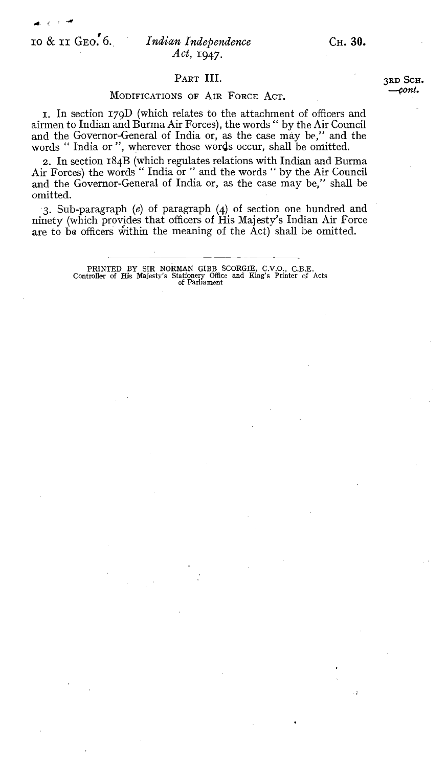.e.

 $\overline{\text{10}}$  &  $\overline{\text{11}}$  GEO. 6. Indian Independence CH. 30. Act, 1947.

### PART III.

#### MODIFICATIONS OF AIR FORCE ACT.

1. In section 179D (which relates to the attachment of officers and airmen to Indian and Burma Air Forces), the words " by the Air Council and the Governor-General of India or, as the case may be," and the words " India or ", wherever those words occur, shall be omitted.

2. In section 184B (which regulates relations with Indian and Burma Air Forces) the words " India or " and the words " by the Air Council and the Governor-General of India or, as the case may be," shall be omitted.

3. Sub-paragraph (e) of paragraph (4) of section one hundred and ninety (which provides that officers of His Majesty's Indian Air Force are to be officers within the meaning of the Act) shall be omitted.

PRINTED BY SIR NORMAN GIBB SCORGIE, C.V.O., C.B.E. Controller of His Majesty's Stationery Office and King's Printer of Acts of Parliament